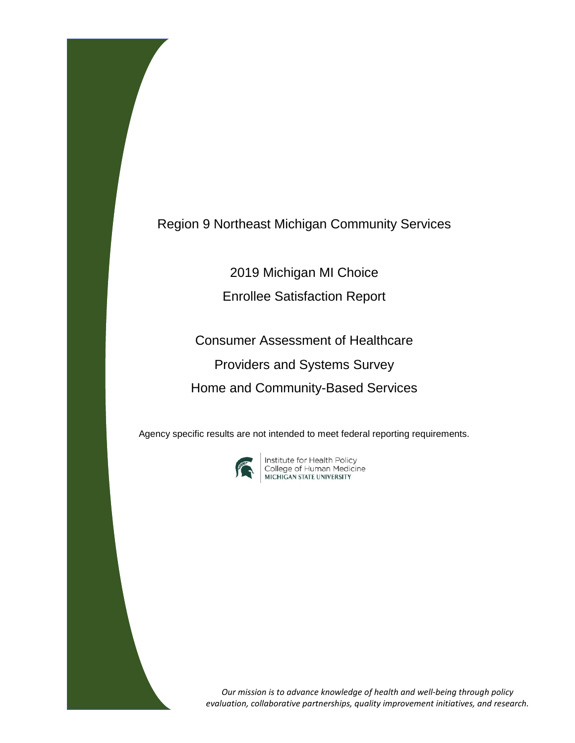Region 9 Northeast Michigan Community Services

2019 Michigan MI Choice

Enrollee Satisfaction Report

Consumer Assessment of Healthcare Providers and Systems Survey Home and Community-Based Services

Agency specific results are not intended to meet federal reporting requirements.



**Institute for Health Policy<br>College of Human Medicine<br>MICHIGAN STATE UNIVERSITY** 

*Our mission is to advance knowledge of health and well-being through policy evaluation, collaborative partnerships, quality improvement initiatives, and research.*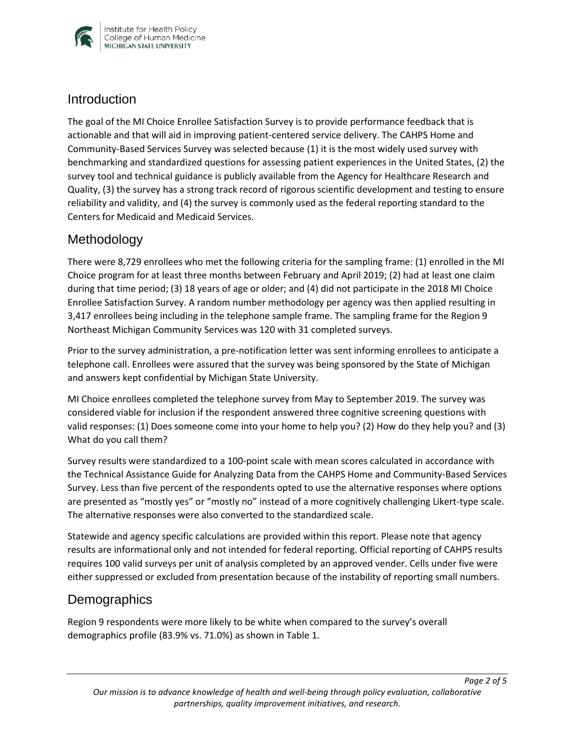

### **Introduction**

The goal of the MI Choice Enrollee Satisfaction Survey is to provide performance feedback that is actionable and that will aid in improving patient-centered service delivery. The CAHPS Home and Community-Based Services Survey was selected because (1) it is the most widely used survey with benchmarking and standardized questions for assessing patient experiences in the United States, (2) the survey tool and technical guidance is publicly available from the Agency for Healthcare Research and Quality, (3) the survey has a strong track record of rigorous scientific development and testing to ensure reliability and validity, and (4) the survey is commonly used as the federal reporting standard to the Centers for Medicaid and Medicaid Services.

## Methodology

There were 8,729 enrollees who met the following criteria for the sampling frame: (1) enrolled in the MI Choice program for at least three months between February and April 2019; (2) had at least one claim during that time period; (3) 18 years of age or older; and (4) did not participate in the 2018 MI Choice Enrollee Satisfaction Survey. A random number methodology per agency was then applied resulting in 3,417 enrollees being including in the telephone sample frame. The sampling frame for the Region 9 Northeast Michigan Community Services was 120 with 31 completed surveys.

Prior to the survey administration, a pre-notification letter was sent informing enrollees to anticipate a telephone call. Enrollees were assured that the survey was being sponsored by the State of Michigan and answers kept confidential by Michigan State University.

MI Choice enrollees completed the telephone survey from May to September 2019. The survey was considered viable for inclusion if the respondent answered three cognitive screening questions with valid responses: (1) Does someone come into your home to help you? (2) How do they help you? and (3) What do you call them?

Survey results were standardized to a 100-point scale with mean scores calculated in accordance with the Technical Assistance Guide for Analyzing Data from the CAHPS Home and Community-Based Services Survey. Less than five percent of the respondents opted to use the alternative responses where options are presented as "mostly yes" or "mostly no" instead of a more cognitively challenging Likert-type scale. The alternative responses were also converted to the standardized scale.

Statewide and agency specific calculations are provided within this report. Please note that agency results are informational only and not intended for federal reporting. Official reporting of CAHPS results requires 100 valid surveys per unit of analysis completed by an approved vender. Cells under five were either suppressed or excluded from presentation because of the instability of reporting small numbers.

## **Demographics**

Region 9 respondents were more likely to be white when compared to the survey's overall demographics profile (83.9% vs. 71.0%) as shown in Table 1.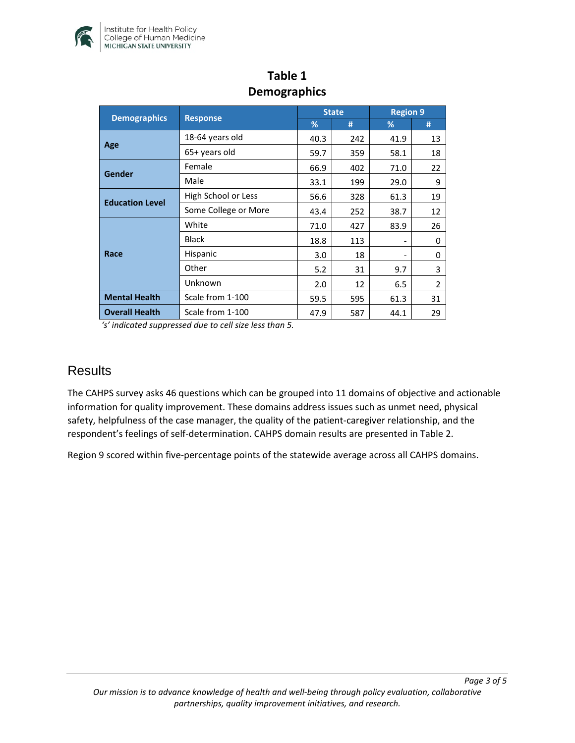

| <b>Demographics</b>    | <b>Response</b>      | <b>State</b> |     | <b>Region 9</b> |    |
|------------------------|----------------------|--------------|-----|-----------------|----|
|                        |                      | %            | #   | %               | #  |
| Age                    | 18-64 years old      | 40.3         | 242 | 41.9            | 13 |
|                        | 65+ years old        | 59.7         | 359 | 58.1            | 18 |
| Gender                 | Female               | 66.9         | 402 | 71.0            | 22 |
|                        | Male                 | 33.1         | 199 | 29.0            | 9  |
| <b>Education Level</b> | High School or Less  | 56.6         | 328 | 61.3            | 19 |
|                        | Some College or More | 43.4         | 252 | 38.7            | 12 |
| Race                   | White                | 71.0         | 427 | 83.9            | 26 |
|                        | <b>Black</b>         | 18.8         | 113 |                 | 0  |
|                        | Hispanic             | 3.0          | 18  |                 | 0  |
|                        | Other                | 5.2          | 31  | 9.7             | 3  |
|                        | Unknown              | 2.0          | 12  | 6.5             | 2  |
| <b>Mental Health</b>   | Scale from 1-100     | 59.5         | 595 | 61.3            | 31 |
| <b>Overall Health</b>  | Scale from 1-100     | 47.9         | 587 | 44.1            | 29 |

## **Table 1 Demographics**

*'s' indicated suppressed due to cell size less than 5.* 

#### **Results**

The CAHPS survey asks 46 questions which can be grouped into 11 domains of objective and actionable information for quality improvement. These domains address issues such as unmet need, physical safety, helpfulness of the case manager, the quality of the patient-caregiver relationship, and the respondent's feelings of self-determination. CAHPS domain results are presented in Table 2.

Region 9 scored within five-percentage points of the statewide average across all CAHPS domains.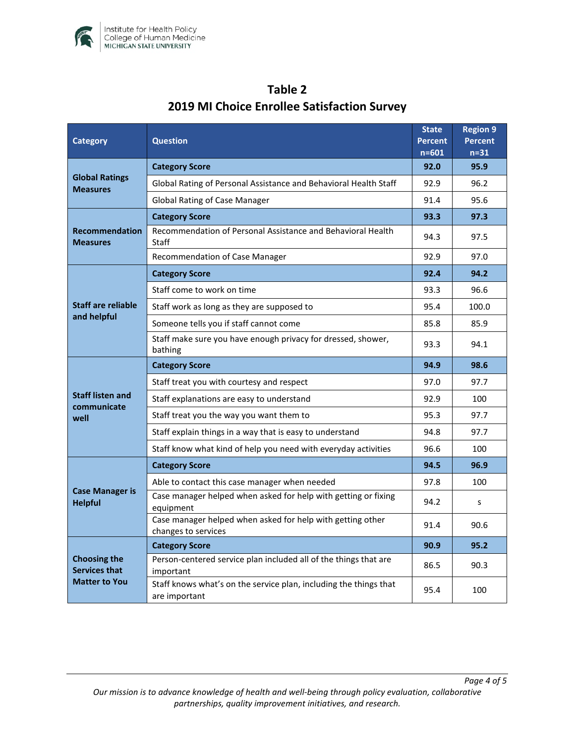

| <b>Category</b>                                                     | <b>Question</b>                                                                    |      | <b>Region 9</b><br><b>Percent</b><br>$n=31$ |
|---------------------------------------------------------------------|------------------------------------------------------------------------------------|------|---------------------------------------------|
| <b>Global Ratings</b><br><b>Measures</b>                            | <b>Category Score</b>                                                              |      | 95.9                                        |
|                                                                     | Global Rating of Personal Assistance and Behavioral Health Staff                   |      | 96.2                                        |
|                                                                     | <b>Global Rating of Case Manager</b>                                               |      | 95.6                                        |
| <b>Recommendation</b><br><b>Measures</b>                            | <b>Category Score</b>                                                              |      | 97.3                                        |
|                                                                     | Recommendation of Personal Assistance and Behavioral Health<br>Staff               |      | 97.5                                        |
|                                                                     | Recommendation of Case Manager                                                     | 92.9 | 97.0                                        |
| <b>Staff are reliable</b><br>and helpful                            | <b>Category Score</b>                                                              | 92.4 | 94.2                                        |
|                                                                     | Staff come to work on time                                                         |      | 96.6                                        |
|                                                                     | Staff work as long as they are supposed to                                         |      | 100.0                                       |
|                                                                     | Someone tells you if staff cannot come                                             |      | 85.9                                        |
|                                                                     | Staff make sure you have enough privacy for dressed, shower,<br>bathing            |      | 94.1                                        |
|                                                                     | <b>Category Score</b>                                                              | 94.9 | 98.6                                        |
|                                                                     | Staff treat you with courtesy and respect                                          | 97.0 | 97.7                                        |
| <b>Staff listen and</b><br>communicate<br>well                      | Staff explanations are easy to understand                                          |      | 100                                         |
|                                                                     | Staff treat you the way you want them to                                           |      | 97.7                                        |
|                                                                     | Staff explain things in a way that is easy to understand                           |      | 97.7                                        |
|                                                                     | Staff know what kind of help you need with everyday activities                     | 96.6 | 100                                         |
| <b>Case Manager is</b><br><b>Helpful</b>                            | <b>Category Score</b>                                                              | 94.5 | 96.9                                        |
|                                                                     | Able to contact this case manager when needed                                      | 97.8 | 100                                         |
|                                                                     | Case manager helped when asked for help with getting or fixing<br>equipment        |      | S                                           |
|                                                                     | Case manager helped when asked for help with getting other<br>changes to services  |      | 90.6                                        |
| <b>Choosing the</b><br><b>Services that</b><br><b>Matter to You</b> | <b>Category Score</b>                                                              | 90.9 | 95.2                                        |
|                                                                     | Person-centered service plan included all of the things that are<br>important      |      | 90.3                                        |
|                                                                     | Staff knows what's on the service plan, including the things that<br>are important | 95.4 | 100                                         |

# **Table 2 2019 MI Choice Enrollee Satisfaction Survey**